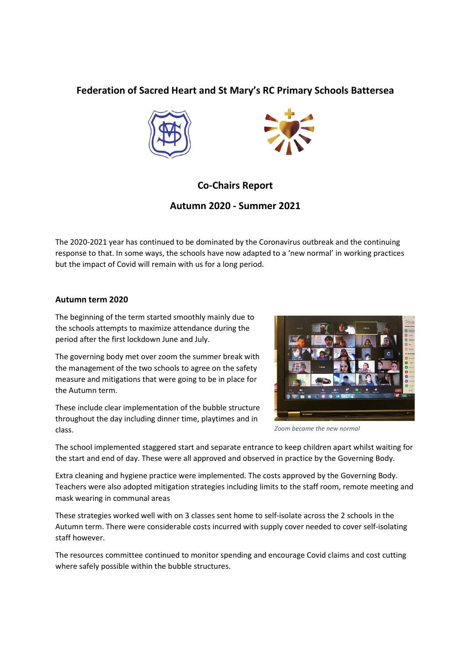## Federation of Sacred Heart and St Mary's RC Primary Schools Battersea





# Co-Chairs Report

### Autumn 2020 - Summer 2021

The 2020-2021 year has continued to be dominated by the Coronavirus outbreak and the continuing response to that. In some ways, the schools have now adapted to a 'new normal' in working practices but the impact of Covid will remain with us for a long period.

#### Autumn term 2020

The beginning of the term started smoothly mainly due to the schools attempts to maximize attendance during the period after the first lockdown June and July.

The governing body met over zoom the summer break with the management of the two schools to agree on the safety measure and mitigations that were going to be in place for the Autumn term.

These include clear implementation of the bubble structure throughout the day including dinner time, playtimes and in class.



Zoom became the new normal

The school implemented staggered start and separate entrance to keep children apart whilst waiting for the start and end of day. These were all approved and observed in practice by the Governing Body.

Extra cleaning and hygiene practice were implemented. The costs approved by the Governing Body. Teachers were also adopted mitigation strategies including limits to the staff room, remote meeting and mask wearing in communal areas

These strategies worked well with on 3 classes sent home to self-isolate across the 2 schools in the Autumn term. There were considerable costs incurred with supply cover needed to cover self-isolating staff however.

The resources committee continued to monitor spending and encourage Covid claims and cost cutting where safely possible within the bubble structures.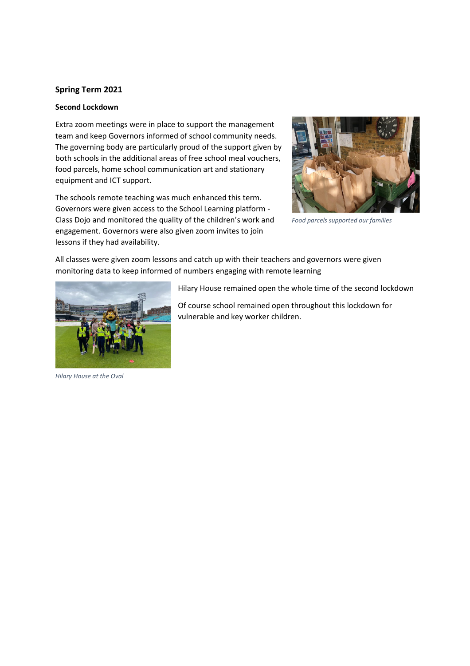#### Spring Term 2021

#### Second Lockdown

Extra zoom meetings were in place to support the management team and keep Governors informed of school community needs. The governing body are particularly proud of the support given by both schools in the additional areas of free school meal vouchers, food parcels, home school communication art and stationary equipment and ICT support.

The schools remote teaching was much enhanced this term. Governors were given access to the School Learning platform - Class Dojo and monitored the quality of the children's work and engagement. Governors were also given zoom invites to join lessons if they had availability.



Food parcels supported our families

All classes were given zoom lessons and catch up with their teachers and governors were given monitoring data to keep informed of numbers engaging with remote learning



Of course school remained open throughout this lockdown for vulnerable and key worker children.

Hilary House at the Oval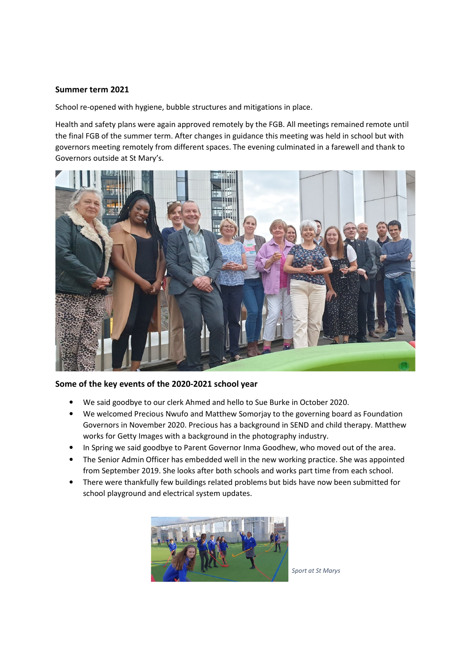#### Summer term 2021

School re-opened with hygiene, bubble structures and mitigations in place.

Health and safety plans were again approved remotely by the FGB. All meetings remained remote until the final FGB of the summer term. After changes in guidance this meeting was held in school but with governors meeting remotely from different spaces. The evening culminated in a farewell and thank to Governors outside at St Mary's.



### Some of the key events of the 2020-2021 school year

- We said goodbye to our clerk Ahmed and hello to Sue Burke in October 2020.
- We welcomed Precious Nwufo and Matthew Somorjay to the governing board as Foundation Governors in November 2020. Precious has a background in SEND and child therapy. Matthew works for Getty Images with a background in the photography industry.
- In Spring we said goodbye to Parent Governor Inma Goodhew, who moved out of the area.
- The Senior Admin Officer has embedded well in the new working practice. She was appointed from September 2019. She looks after both schools and works part time from each school.
- There were thankfully few buildings related problems but bids have now been submitted for school playground and electrical system updates.



Sport at St Marys